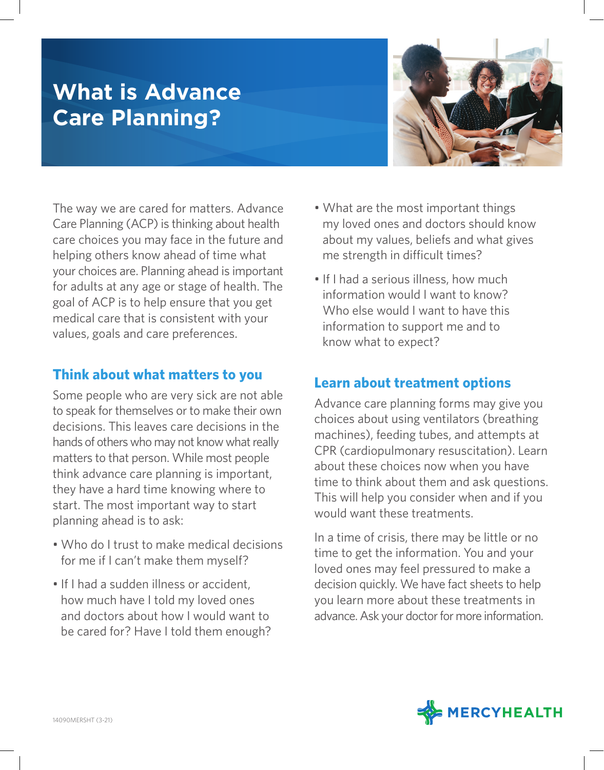# **What is Advance Care Planning?**



The way we are cared for matters. Advance Care Planning (ACP) is thinking about health care choices you may face in the future and helping others know ahead of time what your choices are. Planning ahead is important for adults at any age or stage of health. The goal of ACP is to help ensure that you get medical care that is consistent with your values, goals and care preferences.

#### **Think about what matters to you**

Some people who are very sick are not able to speak for themselves or to make their own decisions. This leaves care decisions in the hands of others who may not know what really matters to that person. While most people think advance care planning is important, they have a hard time knowing where to start. The most important way to start planning ahead is to ask:

- Who do I trust to make medical decisions for me if I can't make them myself?
- If I had a sudden illness or accident, how much have I told my loved ones and doctors about how I would want to be cared for? Have I told them enough?
- What are the most important things my loved ones and doctors should know about my values, beliefs and what gives me strength in difficult times?
- If I had a serious illness, how much information would I want to know? Who else would I want to have this information to support me and to know what to expect?

#### **Learn about treatment options**

Advance care planning forms may give you choices about using ventilators (breathing machines), feeding tubes, and attempts at CPR (cardiopulmonary resuscitation). Learn about these choices now when you have time to think about them and ask questions. This will help you consider when and if you would want these treatments.

In a time of crisis, there may be little or no time to get the information. You and your loved ones may feel pressured to make a decision quickly. We have fact sheets to help you learn more about these treatments in advance. Ask your doctor for more information.